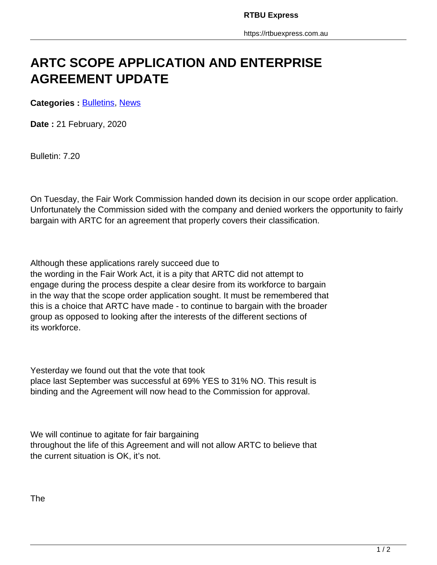## **ARTC SCOPE APPLICATION AND ENTERPRISE AGREEMENT UPDATE**

**Categories : [Bulletins,](https://rtbuexpress.com.au/category/news/bulletins/) News** 

**Date :** 21 February, 2020

Bulletin: 7.20

On Tuesday, the Fair Work Commission handed down its decision in our scope order application. Unfortunately the Commission sided with the company and denied workers the opportunity to fairly bargain with ARTC for an agreement that properly covers their classification.

Although these applications rarely succeed due to the wording in the Fair Work Act, it is a pity that ARTC did not attempt to engage during the process despite a clear desire from its workforce to bargain in the way that the scope order application sought. It must be remembered that this is a choice that ARTC have made - to continue to bargain with the broader group as opposed to looking after the interests of the different sections of its workforce.

Yesterday we found out that the vote that took place last September was successful at 69% YES to 31% NO. This result is binding and the Agreement will now head to the Commission for approval.

We will continue to agitate for fair bargaining throughout the life of this Agreement and will not allow ARTC to believe that the current situation is OK, it's not.

The